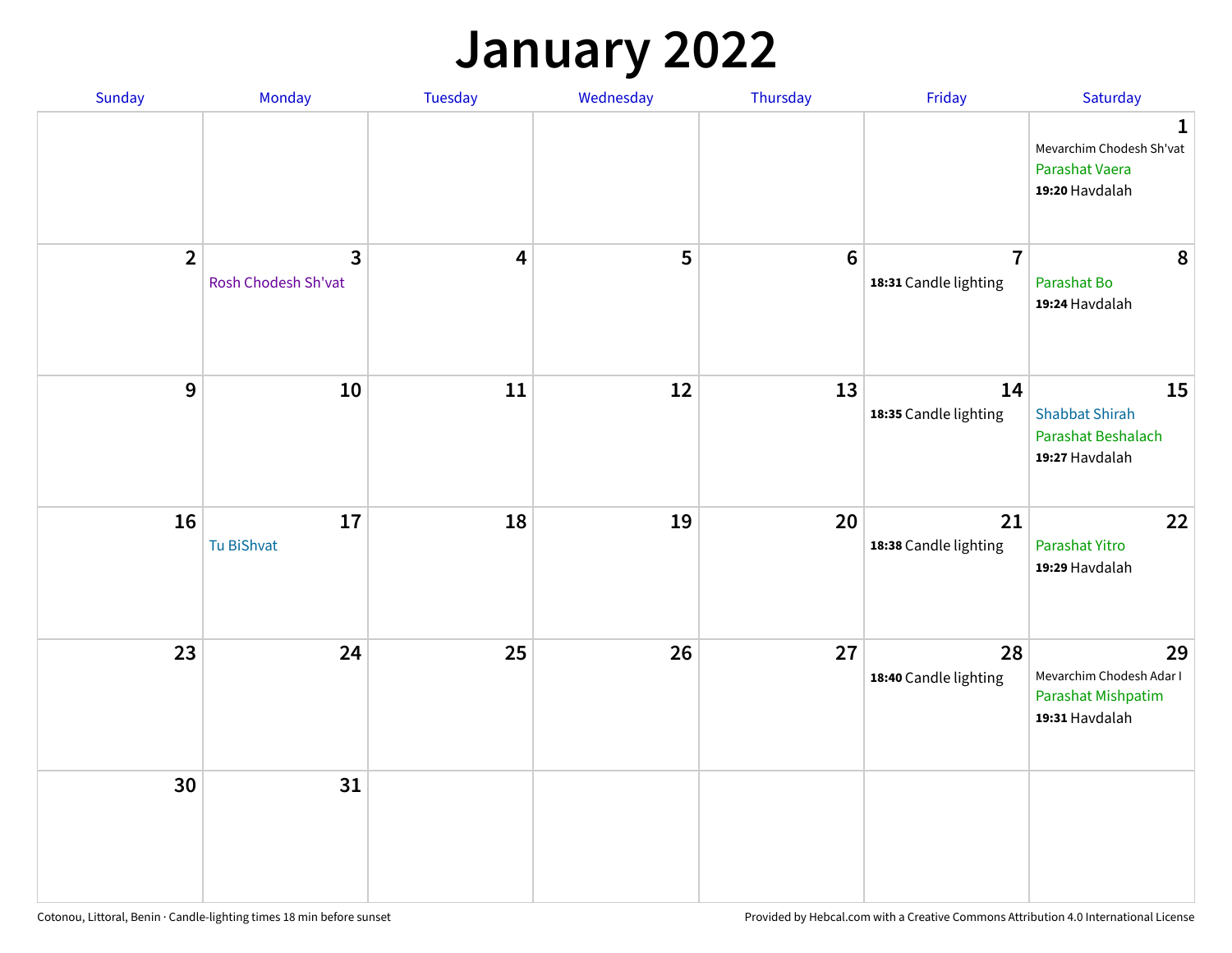## **January 2022**

| Sunday         | Monday                              | Tuesday                 | Wednesday | Thursday        | Friday                                  | Saturday                                                                    |
|----------------|-------------------------------------|-------------------------|-----------|-----------------|-----------------------------------------|-----------------------------------------------------------------------------|
|                |                                     |                         |           |                 |                                         | $\mathbf 1$<br>Mevarchim Chodesh Sh'vat<br>Parashat Vaera<br>19:20 Havdalah |
| $\overline{2}$ | $\mathbf{3}$<br>Rosh Chodesh Sh'vat | $\overline{\mathbf{4}}$ | 5         | $6\phantom{1}6$ | $\overline{7}$<br>18:31 Candle lighting | 8<br>Parashat Bo<br>19:24 Havdalah                                          |
| $\overline{9}$ | 10                                  | 11                      | 12        | 13              | 14<br>18:35 Candle lighting             | 15<br><b>Shabbat Shirah</b><br>Parashat Beshalach<br>19:27 Havdalah         |
| 16             | $17\,$<br>Tu BiShvat                | 18                      | 19        | 20              | 21<br>18:38 Candle lighting             | 22<br>Parashat Yitro<br>19:29 Havdalah                                      |
| 23             | 24                                  | 25                      | 26        | 27              | 28<br>18:40 Candle lighting             | 29<br>Mevarchim Chodesh Adar I<br>Parashat Mishpatim<br>19:31 Havdalah      |
| 30             | 31                                  |                         |           |                 |                                         |                                                                             |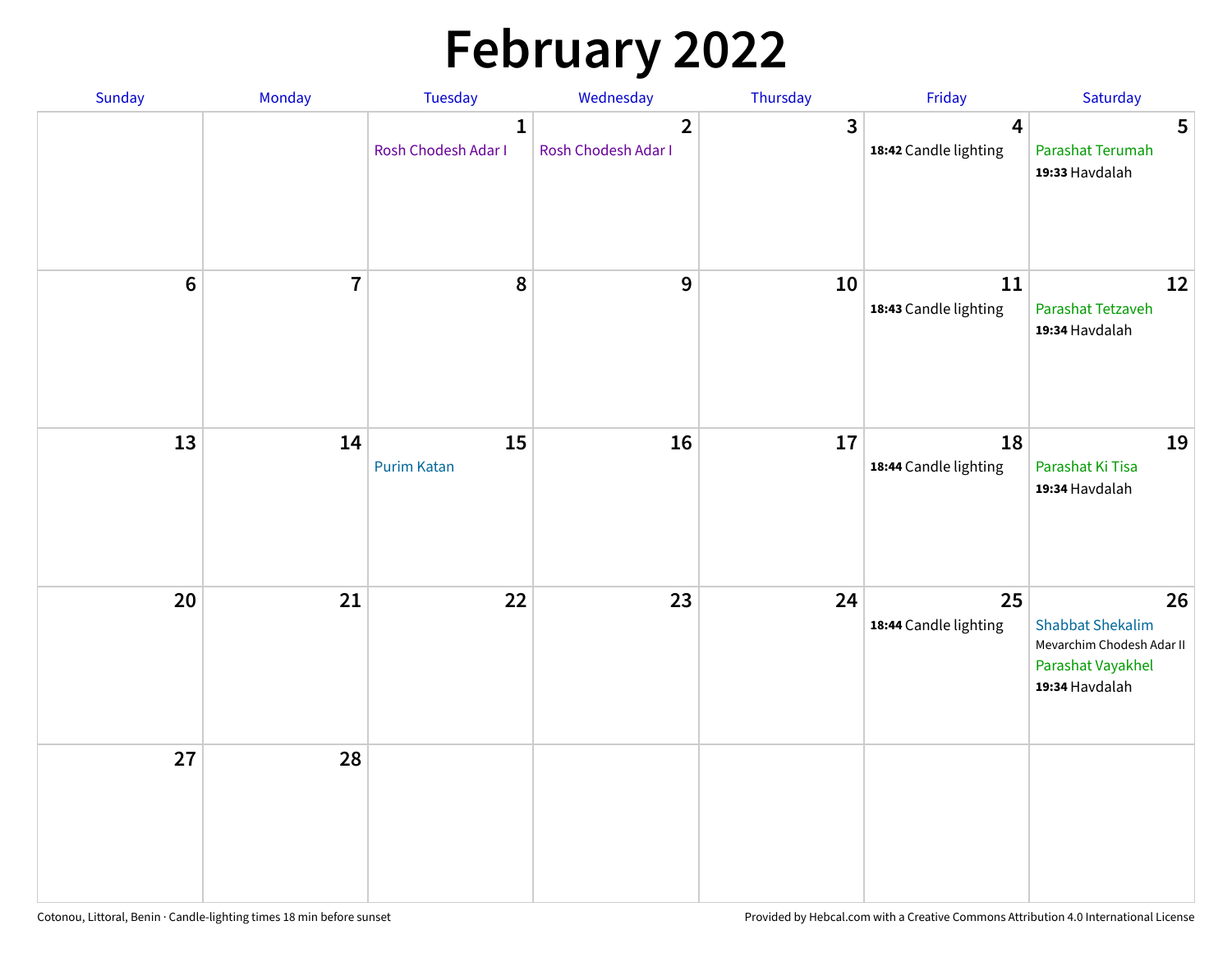# **February 2022**

| Sunday | Monday                  | <b>Tuesday</b>                      | Wednesday                             | Thursday | Friday                                           | Saturday                                                                                          |
|--------|-------------------------|-------------------------------------|---------------------------------------|----------|--------------------------------------------------|---------------------------------------------------------------------------------------------------|
|        |                         | $\mathbf{1}$<br>Rosh Chodesh Adar I | $\overline{2}$<br>Rosh Chodesh Adar I | 3        | $\overline{\mathbf{4}}$<br>18:42 Candle lighting | 5<br>Parashat Terumah<br>19:33 Havdalah                                                           |
| $6\,$  | $\overline{\mathbf{7}}$ | 8                                   | $\boldsymbol{9}$                      | 10       | 11<br>18:43 Candle lighting                      | 12<br>Parashat Tetzaveh<br>19:34 Havdalah                                                         |
| 13     | 14                      | 15<br><b>Purim Katan</b>            | 16                                    | 17       | 18<br>18:44 Candle lighting                      | 19<br>Parashat Ki Tisa<br>19:34 Havdalah                                                          |
| 20     | 21                      | 22                                  | 23                                    | 24       | 25<br>18:44 Candle lighting                      | 26<br><b>Shabbat Shekalim</b><br>Mevarchim Chodesh Adar II<br>Parashat Vayakhel<br>19:34 Havdalah |
| 27     | 28                      |                                     |                                       |          |                                                  |                                                                                                   |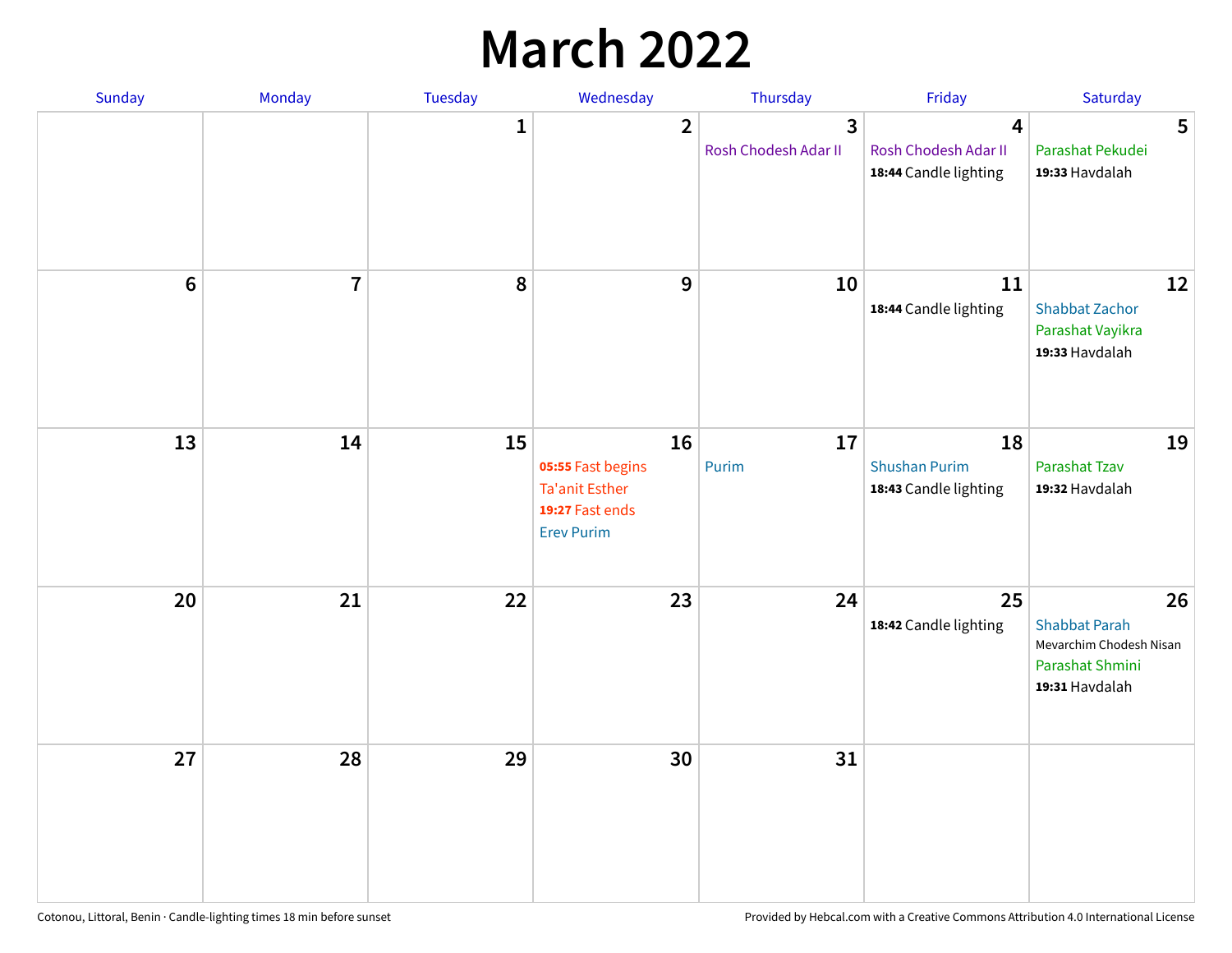## **March 2022**

| Sunday         | Monday         | <b>Tuesday</b> | Wednesday                                                                                | Thursday                  | Friday                                              | Saturday                                                                                   |
|----------------|----------------|----------------|------------------------------------------------------------------------------------------|---------------------------|-----------------------------------------------------|--------------------------------------------------------------------------------------------|
|                |                | $\mathbf{1}$   | $\overline{2}$                                                                           | 3<br>Rosh Chodesh Adar II | 4<br>Rosh Chodesh Adar II<br>18:44 Candle lighting  | 5<br>Parashat Pekudei<br>19:33 Havdalah                                                    |
| $6\phantom{1}$ | $\overline{7}$ | 8              | $\mathbf 9$                                                                              | 10                        | 11<br>18:44 Candle lighting                         | 12<br><b>Shabbat Zachor</b><br>Parashat Vayikra<br>19:33 Havdalah                          |
| 13             | 14             | 15             | 16<br>05:55 Fast begins<br><b>Ta'anit Esther</b><br>19:27 Fast ends<br><b>Erev Purim</b> | 17<br>Purim               | 18<br><b>Shushan Purim</b><br>18:43 Candle lighting | 19<br>Parashat Tzav<br>19:32 Havdalah                                                      |
| 20             | 21             | 22             | 23                                                                                       | 24                        | 25<br>18:42 Candle lighting                         | 26<br><b>Shabbat Parah</b><br>Mevarchim Chodesh Nisan<br>Parashat Shmini<br>19:31 Havdalah |
| 27             | 28             | 29             | 30                                                                                       | 31                        |                                                     |                                                                                            |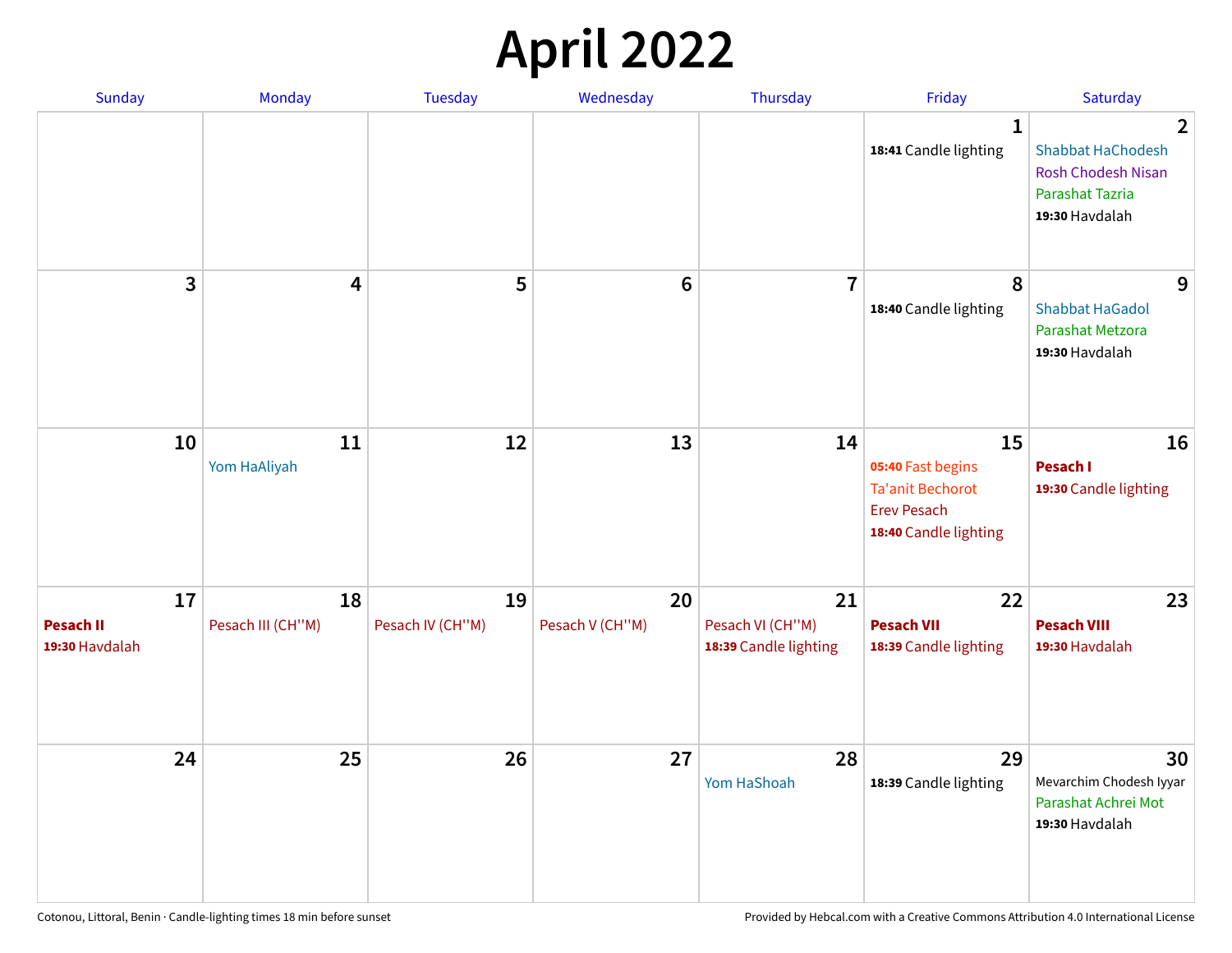## **April 2022**

| <b>Sunday</b>                            | Monday                  | Tuesday                | Wednesday             | Thursday                                        | Friday                                                                                            | Saturday                                                                                                     |
|------------------------------------------|-------------------------|------------------------|-----------------------|-------------------------------------------------|---------------------------------------------------------------------------------------------------|--------------------------------------------------------------------------------------------------------------|
|                                          |                         |                        |                       |                                                 | 1<br>18:41 Candle lighting                                                                        | $\overline{2}$<br><b>Shabbat HaChodesh</b><br><b>Rosh Chodesh Nisan</b><br>Parashat Tazria<br>19:30 Havdalah |
| 3                                        | 4                       | 5                      | $6\phantom{1}$        | $\overline{7}$                                  | 8<br>18:40 Candle lighting                                                                        | 9<br><b>Shabbat HaGadol</b><br>Parashat Metzora<br>19:30 Havdalah                                            |
| 10                                       | 11<br>Yom HaAliyah      | 12                     | 13                    | 14                                              | 15<br>05:40 Fast begins<br><b>Ta'anit Bechorot</b><br><b>Erev Pesach</b><br>18:40 Candle lighting | 16<br>Pesach I<br>19:30 Candle lighting                                                                      |
| 17<br><b>Pesach II</b><br>19:30 Havdalah | 18<br>Pesach III (CH"M) | 19<br>Pesach IV (CH"M) | 20<br>Pesach V (CH"M) | 21<br>Pesach VI (CH"M)<br>18:39 Candle lighting | 22<br><b>Pesach VII</b><br>18:39 Candle lighting                                                  | 23<br><b>Pesach VIII</b><br>19:30 Havdalah                                                                   |
| 24                                       | 25                      | 26                     | 27                    | 28<br>Yom HaShoah                               | 29<br>18:39 Candle lighting                                                                       | 30<br>Mevarchim Chodesh Iyyar<br>Parashat Achrei Mot<br>19:30 Havdalah                                       |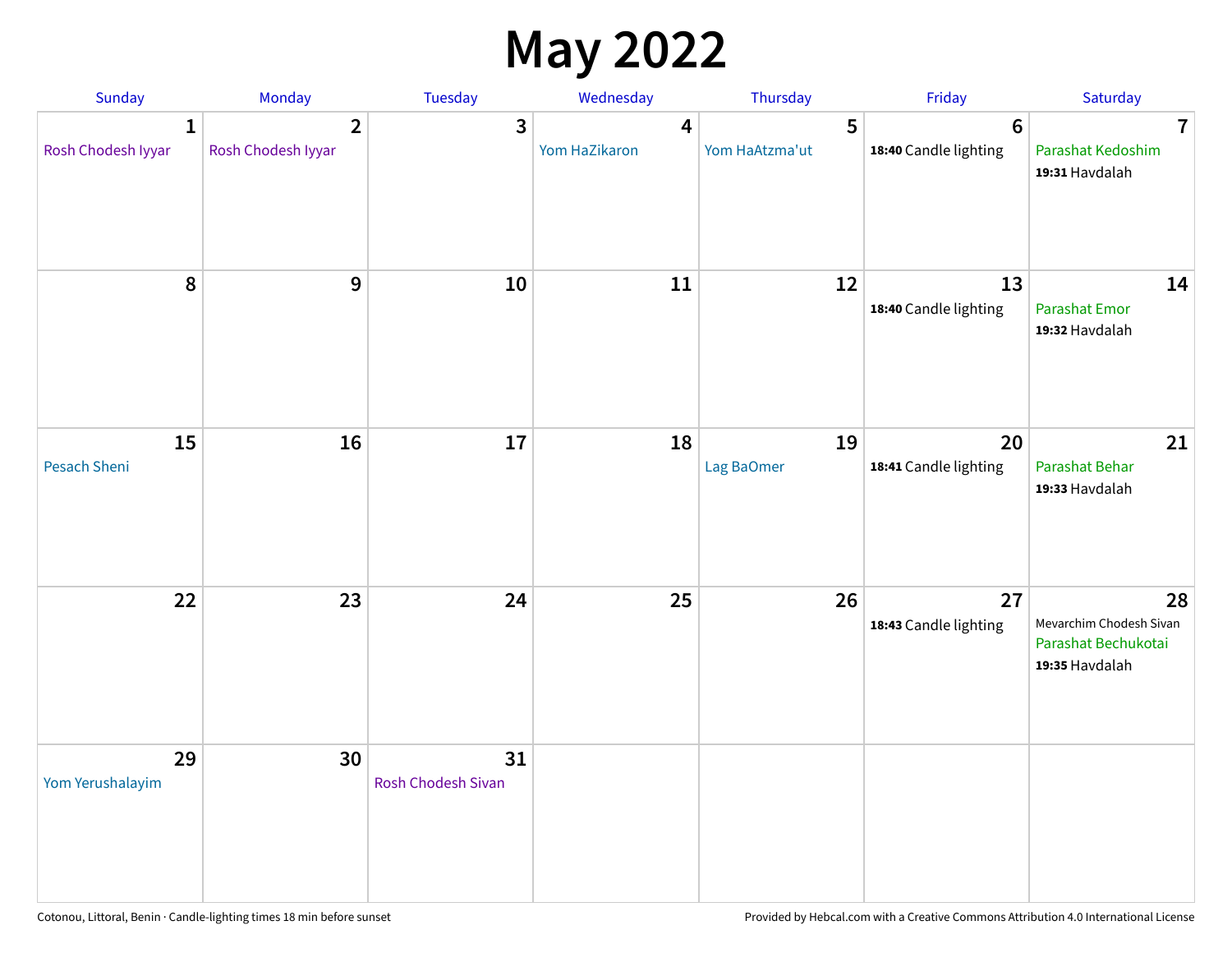## **May 2022**

| Sunday                             | Monday                               | Tuesday                         | Wednesday          | Thursday            | Friday                                   | Saturday                                                               |
|------------------------------------|--------------------------------------|---------------------------------|--------------------|---------------------|------------------------------------------|------------------------------------------------------------------------|
| $\mathbf{1}$<br>Rosh Chodesh Iyyar | $\overline{2}$<br>Rosh Chodesh Iyyar | 3                               | 4<br>Yom HaZikaron | 5<br>Yom HaAtzma'ut | $6\phantom{1}6$<br>18:40 Candle lighting | $\overline{7}$<br>Parashat Kedoshim<br>19:31 Havdalah                  |
| $\pmb{8}$                          | $\mathbf{9}$                         | 10                              | 11                 | 12                  | 13<br>18:40 Candle lighting              | 14<br><b>Parashat Emor</b><br>19:32 Havdalah                           |
| 15<br>Pesach Sheni                 | 16                                   | 17                              | 18                 | 19<br>Lag BaOmer    | 20<br>18:41 Candle lighting              | 21<br>Parashat Behar<br>19:33 Havdalah                                 |
| 22                                 | 23                                   | 24                              | 25                 | 26                  | 27<br>18:43 Candle lighting              | 28<br>Mevarchim Chodesh Sivan<br>Parashat Bechukotai<br>19:35 Havdalah |
| 29<br>Yom Yerushalayim             | 30                                   | 31<br><b>Rosh Chodesh Sivan</b> |                    |                     |                                          |                                                                        |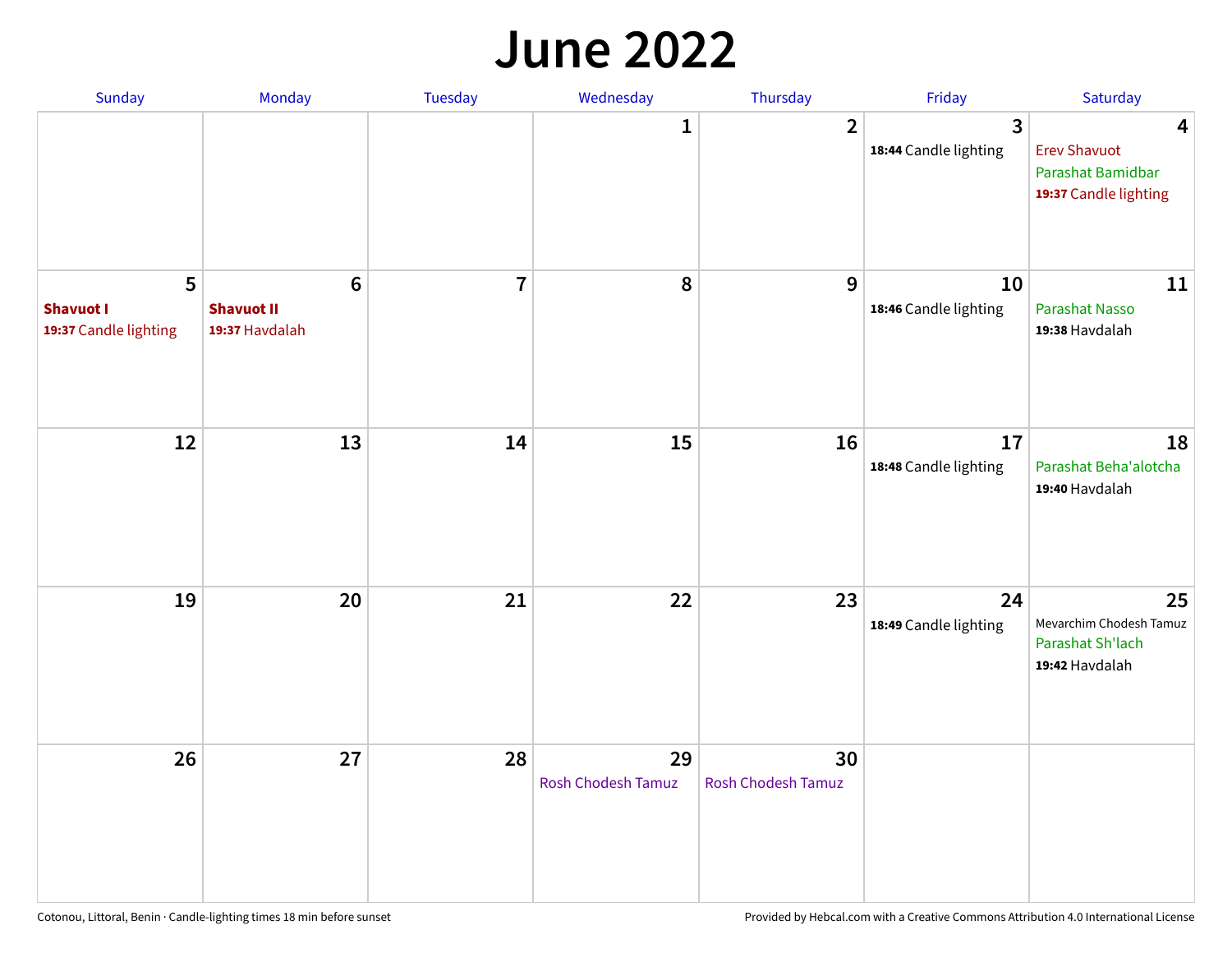#### **June 2022**

| Sunday                                         | Monday                                         | Tuesday        | Wednesday                       | Thursday                        | Friday                      | Saturday                                                                                     |
|------------------------------------------------|------------------------------------------------|----------------|---------------------------------|---------------------------------|-----------------------------|----------------------------------------------------------------------------------------------|
|                                                |                                                |                | 1                               | $\overline{2}$                  | 3<br>18:44 Candle lighting  | $\overline{\mathbf{4}}$<br><b>Erev Shavuot</b><br>Parashat Bamidbar<br>19:37 Candle lighting |
| 5<br><b>Shavuot I</b><br>19:37 Candle lighting | $\bf 6$<br><b>Shavuot II</b><br>19:37 Havdalah | $\overline{7}$ | 8                               | 9                               | 10<br>18:46 Candle lighting | 11<br>Parashat Nasso<br>19:38 Havdalah                                                       |
| 12                                             | 13                                             | 14             | 15                              | 16                              | 17<br>18:48 Candle lighting | 18<br>Parashat Beha'alotcha<br>19:40 Havdalah                                                |
| 19                                             | 20                                             | 21             | 22                              | 23                              | 24<br>18:49 Candle lighting | 25<br>Mevarchim Chodesh Tamuz<br>Parashat Sh'lach<br>19:42 Havdalah                          |
| 26                                             | 27                                             | 28             | 29<br><b>Rosh Chodesh Tamuz</b> | 30<br><b>Rosh Chodesh Tamuz</b> |                             |                                                                                              |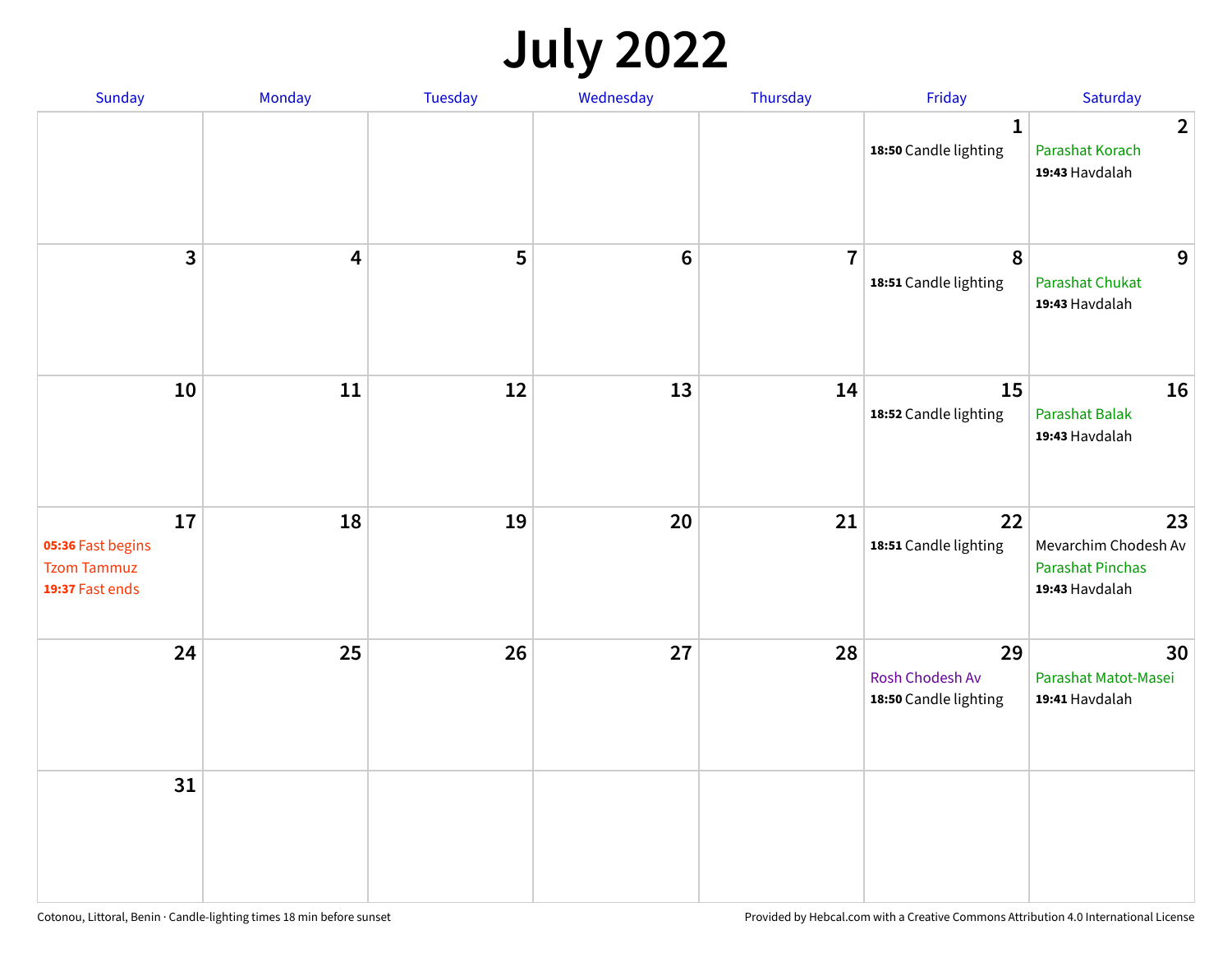## **July 2022**

| Sunday                                                           | Monday | Tuesday | Wednesday | Thursday       | Friday                                         | Saturday                                                                |
|------------------------------------------------------------------|--------|---------|-----------|----------------|------------------------------------------------|-------------------------------------------------------------------------|
|                                                                  |        |         |           |                | $\mathbf{1}$<br>18:50 Candle lighting          | $\overline{2}$<br>Parashat Korach<br>19:43 Havdalah                     |
| $\overline{3}$                                                   | 4      | 5       | $\bf 6$   | $\overline{7}$ | 8<br>18:51 Candle lighting                     | 9<br><b>Parashat Chukat</b><br>19:43 Havdalah                           |
| 10                                                               | 11     | 12      | 13        | 14             | 15<br>18:52 Candle lighting                    | 16<br>Parashat Balak<br>19:43 Havdalah                                  |
| 17<br>05:36 Fast begins<br><b>Tzom Tammuz</b><br>19:37 Fast ends | 18     | 19      | 20        | 21             | 22<br>18:51 Candle lighting                    | 23<br>Mevarchim Chodesh Av<br><b>Parashat Pinchas</b><br>19:43 Havdalah |
| 24                                                               | 25     | 26      | 27        | 28             | 29<br>Rosh Chodesh Av<br>18:50 Candle lighting | 30<br>Parashat Matot-Masei<br>19:41 Havdalah                            |
| 31                                                               |        |         |           |                |                                                |                                                                         |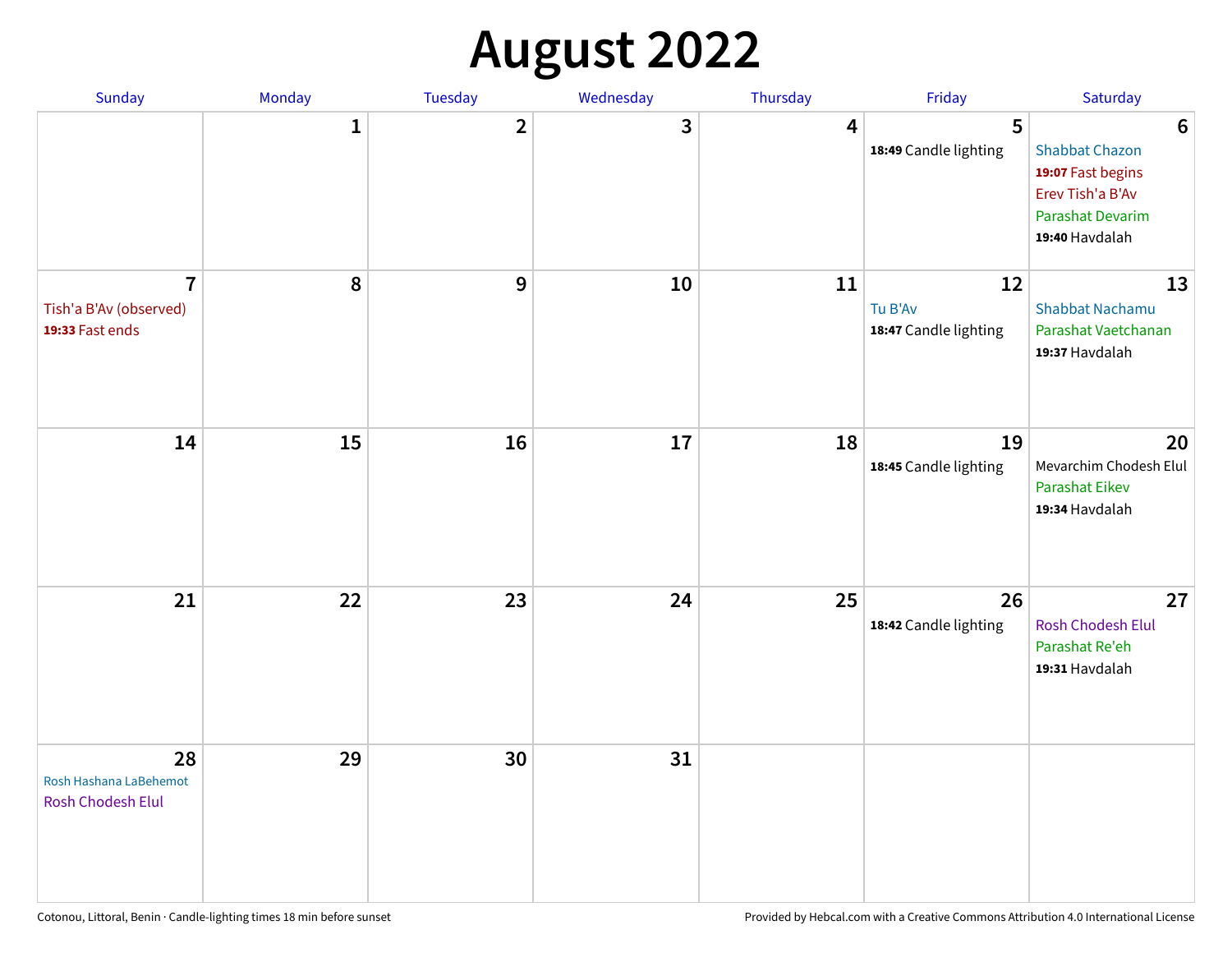## **August 2022**

| Sunday                                                      | Monday       | <b>Tuesday</b> | Wednesday | Thursday | Friday                                 | Saturday                                                                                                                       |
|-------------------------------------------------------------|--------------|----------------|-----------|----------|----------------------------------------|--------------------------------------------------------------------------------------------------------------------------------|
|                                                             | $\mathbf{1}$ | $\overline{2}$ | 3         | 4        | 5<br>18:49 Candle lighting             | $6\phantom{1}6$<br><b>Shabbat Chazon</b><br>19:07 Fast begins<br>Erev Tish'a B'Av<br><b>Parashat Devarim</b><br>19:40 Havdalah |
| $\overline{7}$<br>Tish'a B'Av (observed)<br>19:33 Fast ends | 8            | 9              | 10        | 11       | 12<br>Tu B'Av<br>18:47 Candle lighting | 13<br><b>Shabbat Nachamu</b><br>Parashat Vaetchanan<br>19:37 Havdalah                                                          |
| 14                                                          | 15           | 16             | 17        | 18       | 19<br>18:45 Candle lighting            | 20<br>Mevarchim Chodesh Elul<br><b>Parashat Eikev</b><br>19:34 Havdalah                                                        |
| 21                                                          | 22           | 23             | 24        | 25       | 26<br>18:42 Candle lighting            | 27<br><b>Rosh Chodesh Elul</b><br>Parashat Re'eh<br>19:31 Havdalah                                                             |
| 28<br>Rosh Hashana LaBehemot<br><b>Rosh Chodesh Elul</b>    | 29           | 30             | 31        |          |                                        |                                                                                                                                |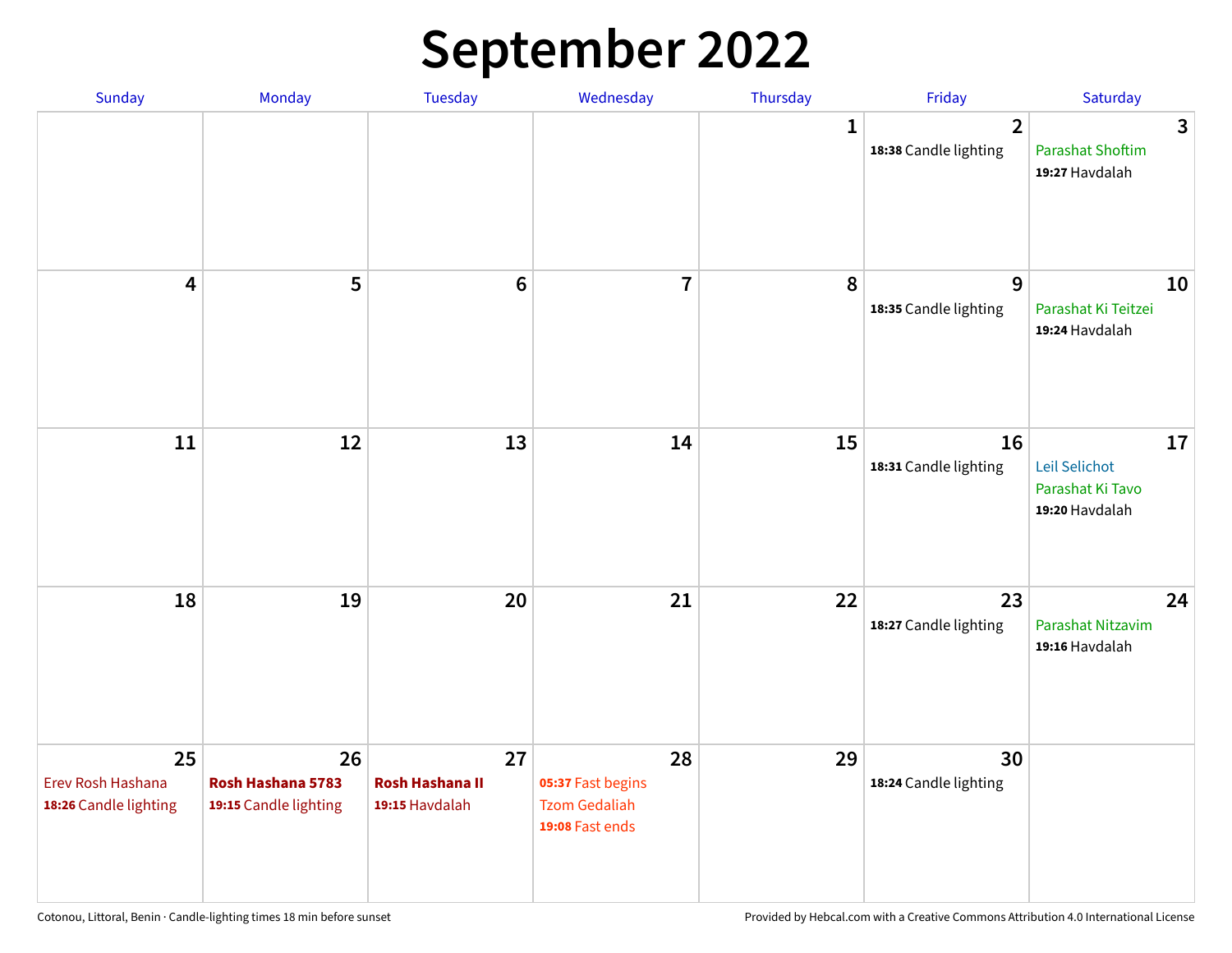## **September 2022**

| Sunday                                           | Monday                                           | <b>Tuesday</b>                                 | Wednesday                                                          | Thursday    | Friday                                  | Saturday                                                  |
|--------------------------------------------------|--------------------------------------------------|------------------------------------------------|--------------------------------------------------------------------|-------------|-----------------------------------------|-----------------------------------------------------------|
|                                                  |                                                  |                                                |                                                                    | $\mathbf 1$ | $\overline{2}$<br>18:38 Candle lighting | 3<br><b>Parashat Shoftim</b><br>19:27 Havdalah            |
| $\overline{\mathbf{4}}$                          | 5                                                | $6\phantom{1}6$                                | $\overline{7}$                                                     | 8           | 9<br>18:35 Candle lighting              | 10<br>Parashat Ki Teitzei<br>19:24 Havdalah               |
| 11                                               | 12                                               | 13                                             | 14                                                                 | 15          | 16<br>18:31 Candle lighting             | 17<br>Leil Selichot<br>Parashat Ki Tavo<br>19:20 Havdalah |
| 18                                               | 19                                               | 20                                             | 21                                                                 | 22          | 23<br>18:27 Candle lighting             | 24<br>Parashat Nitzavim<br>19:16 Havdalah                 |
| 25<br>Erev Rosh Hashana<br>18:26 Candle lighting | 26<br>Rosh Hashana 5783<br>19:15 Candle lighting | 27<br><b>Rosh Hashana II</b><br>19:15 Havdalah | 28<br>05:37 Fast begins<br><b>Tzom Gedaliah</b><br>19:08 Fast ends | 29          | 30<br>18:24 Candle lighting             |                                                           |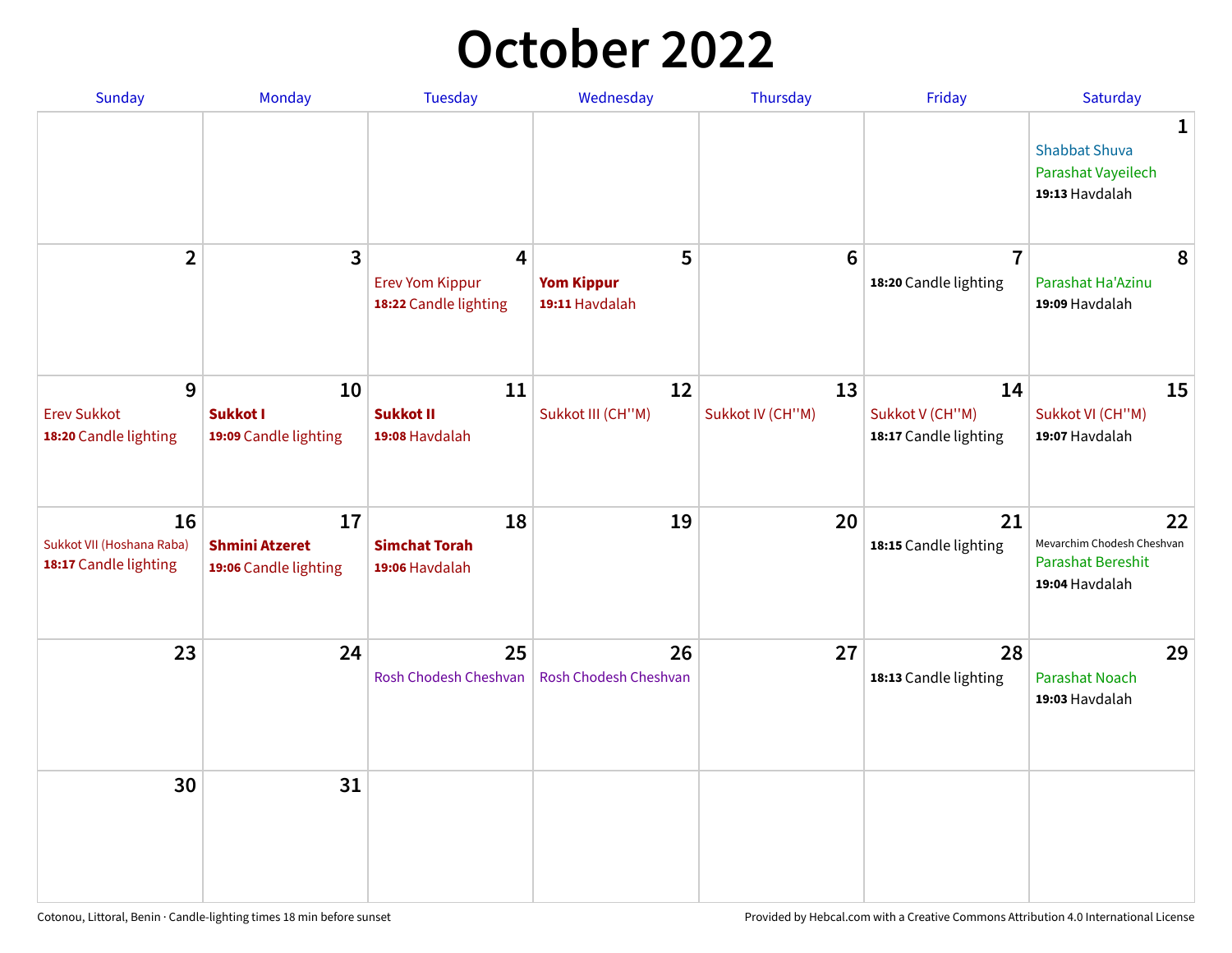## **October 2022**

| Sunday                                                   | Monday                                               | <b>Tuesday</b>                                       | Wednesday                                | Thursday               | Friday                                         | Saturday                                                                     |
|----------------------------------------------------------|------------------------------------------------------|------------------------------------------------------|------------------------------------------|------------------------|------------------------------------------------|------------------------------------------------------------------------------|
|                                                          |                                                      |                                                      |                                          |                        |                                                | $\mathbf{1}$<br><b>Shabbat Shuva</b><br>Parashat Vayeilech<br>19:13 Havdalah |
| $\overline{2}$                                           | 3                                                    | 4<br><b>Erev Yom Kippur</b><br>18:22 Candle lighting | 5<br><b>Yom Kippur</b><br>19:11 Havdalah | 6                      | $\overline{7}$<br>18:20 Candle lighting        | 8<br>Parashat Ha'Azinu<br>19:09 Havdalah                                     |
| 9<br><b>Erev Sukkot</b><br>18:20 Candle lighting         | 10<br>Sukkot I<br>19:09 Candle lighting              | 11<br><b>Sukkot II</b><br>19:08 Havdalah             | 12<br>Sukkot III (CH"M)                  | 13<br>Sukkot IV (CH"M) | 14<br>Sukkot V (CH"M)<br>18:17 Candle lighting | 15<br>Sukkot VI (CH"M)<br>19:07 Havdalah                                     |
| 16<br>Sukkot VII (Hoshana Raba)<br>18:17 Candle lighting | 17<br><b>Shmini Atzeret</b><br>19:06 Candle lighting | 18<br><b>Simchat Torah</b><br>19:06 Havdalah         | 19                                       | 20                     | 21<br>18:15 Candle lighting                    | 22<br>Mevarchim Chodesh Cheshvan<br>Parashat Bereshit<br>19:04 Havdalah      |
| 23                                                       | 24                                                   | 25<br>Rosh Chodesh Cheshvan                          | 26<br>Rosh Chodesh Cheshvan              | 27                     | 28<br>18:13 Candle lighting                    | 29<br><b>Parashat Noach</b><br>19:03 Havdalah                                |
| 30                                                       | 31                                                   |                                                      |                                          |                        |                                                |                                                                              |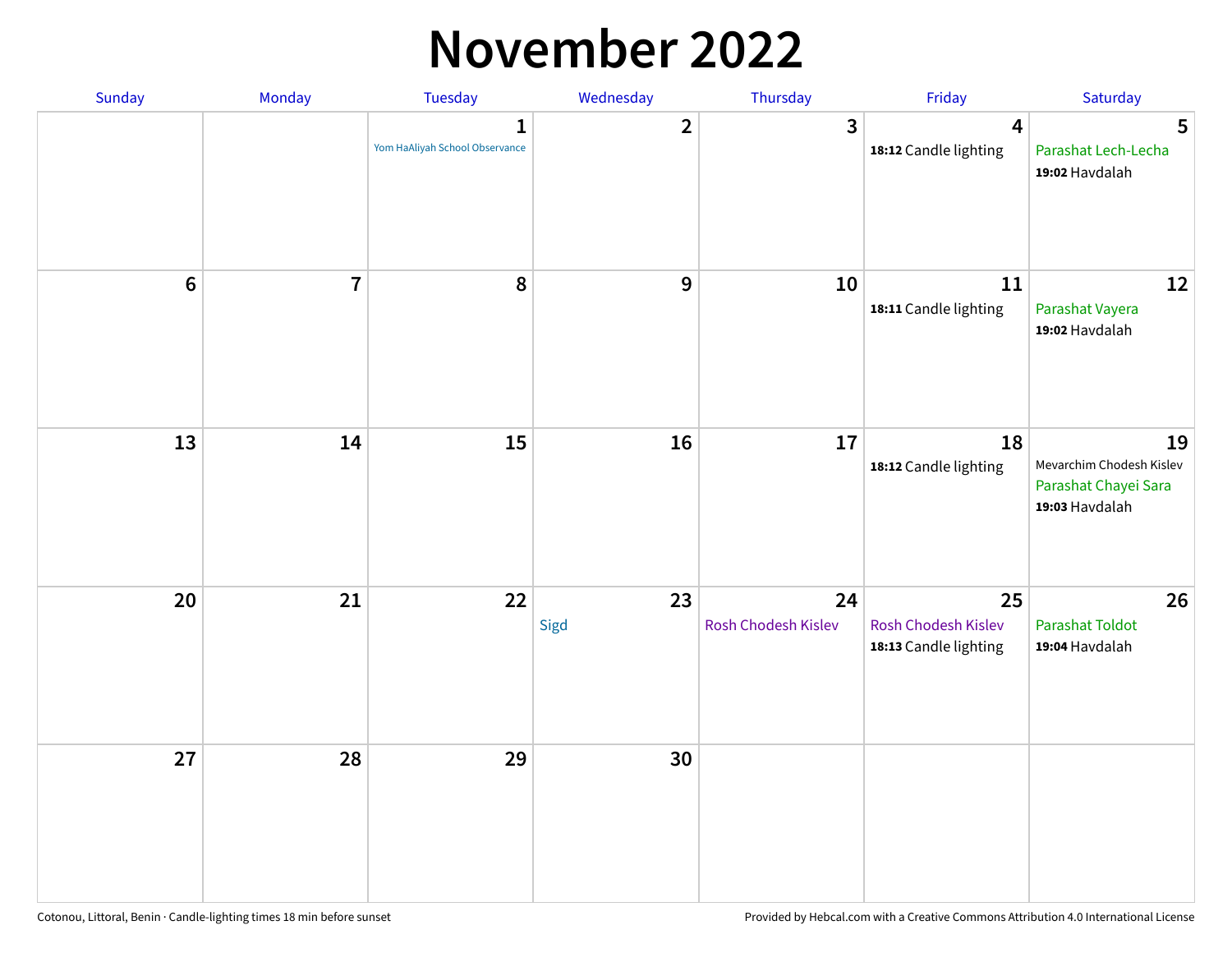### **November 2022**

| Sunday  | Monday         | <b>Tuesday</b>                                 | Wednesday      | Thursday                  | Friday                                             | Saturday                                                                 |
|---------|----------------|------------------------------------------------|----------------|---------------------------|----------------------------------------------------|--------------------------------------------------------------------------|
|         |                | $\mathbf{1}$<br>Yom HaAliyah School Observance | $\overline{2}$ | 3                         | $\overline{\mathbf{4}}$<br>18:12 Candle lighting   | 5<br>Parashat Lech-Lecha<br>19:02 Havdalah                               |
| $\bf 6$ | $\overline{7}$ | 8                                              | $\mathbf 9$    | 10                        | 11<br>18:11 Candle lighting                        | 12<br>Parashat Vayera<br>19:02 Havdalah                                  |
| 13      | 14             | 15                                             | 16             | 17                        | 18<br>18:12 Candle lighting                        | 19<br>Mevarchim Chodesh Kislev<br>Parashat Chayei Sara<br>19:03 Havdalah |
| 20      | 21             | 22                                             | 23<br>Sigd     | 24<br>Rosh Chodesh Kislev | 25<br>Rosh Chodesh Kislev<br>18:13 Candle lighting | 26<br><b>Parashat Toldot</b><br>19:04 Havdalah                           |
| 27      | 28             | 29                                             | 30             |                           |                                                    |                                                                          |